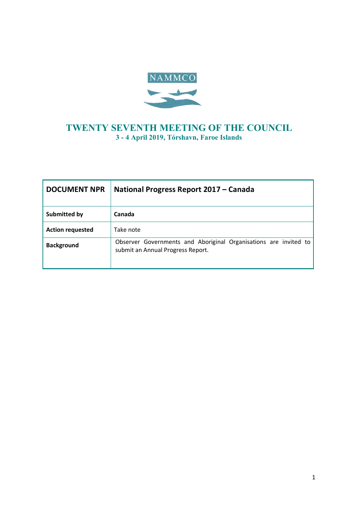

### **TWENTY SEVENTH MEETING OF THE COUNCIL 3 - 4 April 2019, Tórshavn, Faroe Islands**

| <b>DOCUMENT NPR</b>     | National Progress Report 2017 – Canada                                                                |  |  |
|-------------------------|-------------------------------------------------------------------------------------------------------|--|--|
| <b>Submitted by</b>     | Canada                                                                                                |  |  |
| <b>Action requested</b> | Take note                                                                                             |  |  |
| <b>Background</b>       | Observer Governments and Aboriginal Organisations are invited to<br>submit an Annual Progress Report. |  |  |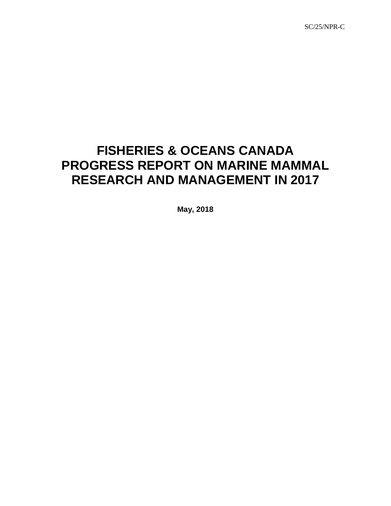SC/25/NPR-C

# **FISHERIES & OCEANS CANADA PROGRESS REPORT ON MARINE MAMMAL RESEARCH AND MANAGEMENT IN 2017**

**May, 2018**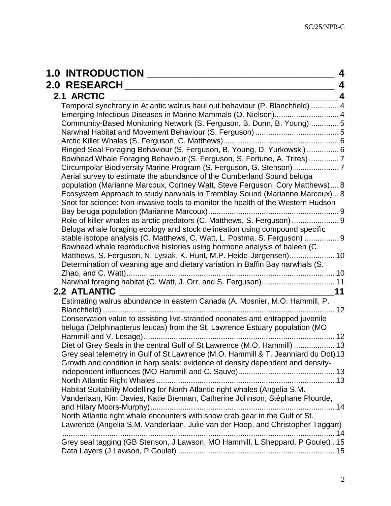| <b>1.0 INTRODUCTION</b><br>4                                                                                                                                                                                                                                                                                                                                                                                                                                                                                                                                                                                                                                                                                                                                                                                                                                                                                                                                                                                                                                                                                                                                                                                                                                                |
|-----------------------------------------------------------------------------------------------------------------------------------------------------------------------------------------------------------------------------------------------------------------------------------------------------------------------------------------------------------------------------------------------------------------------------------------------------------------------------------------------------------------------------------------------------------------------------------------------------------------------------------------------------------------------------------------------------------------------------------------------------------------------------------------------------------------------------------------------------------------------------------------------------------------------------------------------------------------------------------------------------------------------------------------------------------------------------------------------------------------------------------------------------------------------------------------------------------------------------------------------------------------------------|
| <b>2.0 RESEARCH</b><br>4                                                                                                                                                                                                                                                                                                                                                                                                                                                                                                                                                                                                                                                                                                                                                                                                                                                                                                                                                                                                                                                                                                                                                                                                                                                    |
| 2.1 ARCTIC<br>4                                                                                                                                                                                                                                                                                                                                                                                                                                                                                                                                                                                                                                                                                                                                                                                                                                                                                                                                                                                                                                                                                                                                                                                                                                                             |
| Temporal synchrony in Atlantic walrus haul out behaviour (P. Blanchfield)  4<br>Emerging Infectious Diseases in Marine Mammals (O. Nielsen) 4<br>Community-Based Monitoring Network (S. Ferguson, B. Dunn, B. Young)  5<br>Ringed Seal Foraging Behaviour (S. Ferguson, B. Young, D. Yurkowski)  6<br>Bowhead Whale Foraging Behaviour (S. Ferguson, S. Fortune, A. Trites) 7<br>Circumpolar Biodiversity Marine Program (S. Ferguson, G. Stenson) 7<br>Aerial survey to estimate the abundance of the Cumberland Sound beluga<br>population (Marianne Marcoux, Cortney Watt, Steve Ferguson, Cory Matthews) 8<br>Ecosystem Approach to study narwhals in Tremblay Sound (Marianne Marcoux)  8<br>Snot for science: Non-invasive tools to monitor the health of the Western Hudson<br>Beluga whale foraging ecology and stock delineation using compound specific<br>stable isotope analysis (C. Matthews, C. Watt, L. Postma, S. Ferguson)  9<br>Bowhead whale reproductive histories using hormone analysis of baleen (C.<br>Matthews, S. Ferguson, N. Lysiak, K. Hunt, M.P. Heide-Jørgensen) 10<br>Determination of weaning age and dietary variation in Baffin Bay narwhals (S.<br>Narwhal foraging habitat (C. Watt, J. Orr, and S. Ferguson) 11<br>2.2 ATLANTIC<br>11 |
| Estimating walrus abundance in eastern Canada (A. Mosnier, M.O. Hammill, P.<br>Blanchfield)<br>12<br>Conservation value to assisting live-stranded neonates and entrapped juvenile<br>beluga (Delphinapterus leucas) from the St. Lawrence Estuary population (MO<br>Diet of Grey Seals in the central Gulf of St Lawrence (M.O. Hammill)  13<br>Grey seal telemetry in Gulf of St Lawrence (M.O. Hammill & T. Jeanniard du Dot) 13<br>Growth and condition in harp seals: evidence of density dependent and density-<br>Habitat Suitability Modelling for North Atlantic right whales (Angelia S.M.<br>Vanderlaan, Kim Davies, Katie Brennan, Catherine Johnson, Stéphane Plourde,<br>North Atlantic right whale encounters with snow crab gear in the Gulf of St.<br>Lawrence (Angelia S.M. Vanderlaan, Julie van der Hoop, and Christopher Taggart)                                                                                                                                                                                                                                                                                                                                                                                                                      |
| Grey seal tagging (GB Stenson, J Lawson, MO Hammill, L Sheppard, P Goulet). 15                                                                                                                                                                                                                                                                                                                                                                                                                                                                                                                                                                                                                                                                                                                                                                                                                                                                                                                                                                                                                                                                                                                                                                                              |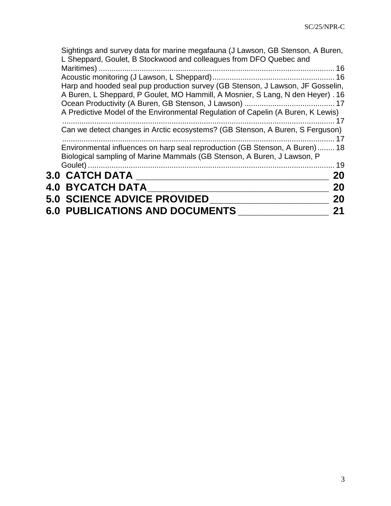| Sightings and survey data for marine megafauna (J Lawson, GB Stenson, A Buren,<br>L Sheppard, Goulet, B Stockwood and colleagues from DFO Quebec and              |           |
|-------------------------------------------------------------------------------------------------------------------------------------------------------------------|-----------|
|                                                                                                                                                                   |           |
|                                                                                                                                                                   |           |
| Harp and hooded seal pup production survey (GB Stenson, J Lawson, JF Gosselin,                                                                                    |           |
| A Buren, L Sheppard, P Goulet, MO Hammill, A Mosnier, S Lang, N den Heyer). 16                                                                                    |           |
|                                                                                                                                                                   |           |
| A Predictive Model of the Environmental Regulation of Capelin (A Buren, K Lewis)                                                                                  |           |
|                                                                                                                                                                   |           |
| Can we detect changes in Arctic ecosystems? (GB Stenson, A Buren, S Ferguson)                                                                                     |           |
| Environmental influences on harp seal reproduction (GB Stenson, A Buren) 18<br>Biological sampling of Marine Mammals (GB Stenson, A Buren, J Lawson, P<br>Goulet) | -17<br>19 |
| <b>3.0 CATCH DATA</b>                                                                                                                                             | <b>20</b> |
| <b>4.0 BYCATCH DATA</b>                                                                                                                                           | 20        |
|                                                                                                                                                                   |           |
| <b>5.0 SCIENCE ADVICE PROVIDED</b>                                                                                                                                | 20        |
| <b>6.0 PUBLICATIONS AND DOCUMENTS</b>                                                                                                                             | 21        |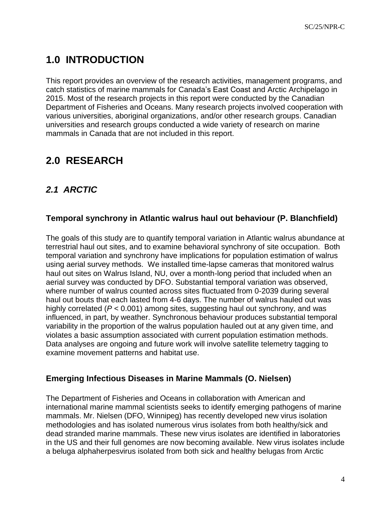# <span id="page-4-0"></span>**1.0 INTRODUCTION**

This report provides an overview of the research activities, management programs, and catch statistics of marine mammals for Canada's East Coast and Arctic Archipelago in 2015. Most of the research projects in this report were conducted by the Canadian Department of Fisheries and Oceans. Many research projects involved cooperation with various universities, aboriginal organizations, and/or other research groups. Canadian universities and research groups conducted a wide variety of research on marine mammals in Canada that are not included in this report.

## <span id="page-4-1"></span>**2.0 RESEARCH**

### <span id="page-4-2"></span>*2.1 ARCTIC*

### <span id="page-4-3"></span>**Temporal synchrony in Atlantic walrus haul out behaviour (P. Blanchfield)**

The goals of this study are to quantify temporal variation in Atlantic walrus abundance at terrestrial haul out sites, and to examine behavioral synchrony of site occupation. Both temporal variation and synchrony have implications for population estimation of walrus using aerial survey methods. We installed time-lapse cameras that monitored walrus haul out sites on Walrus Island, NU, over a month-long period that included when an aerial survey was conducted by DFO. Substantial temporal variation was observed, where number of walrus counted across sites fluctuated from 0-2039 during several haul out bouts that each lasted from 4-6 days. The number of walrus hauled out was highly correlated (*P* < 0.001) among sites, suggesting haul out synchrony, and was influenced, in part, by weather. Synchronous behaviour produces substantial temporal variability in the proportion of the walrus population hauled out at any given time, and violates a basic assumption associated with current population estimation methods. Data analyses are ongoing and future work will involve satellite telemetry tagging to examine movement patterns and habitat use.

#### <span id="page-4-4"></span>**Emerging Infectious Diseases in Marine Mammals (O. Nielsen)**

The Department of Fisheries and Oceans in collaboration with American and international marine mammal scientists seeks to identify emerging pathogens of marine mammals. Mr. Nielsen (DFO, Winnipeg) has recently developed new virus isolation methodologies and has isolated numerous virus isolates from both healthy/sick and dead stranded marine mammals. These new virus isolates are identified in laboratories in the US and their full genomes are now becoming available. New virus isolates include a beluga alphaherpesvirus isolated from both sick and healthy belugas from Arctic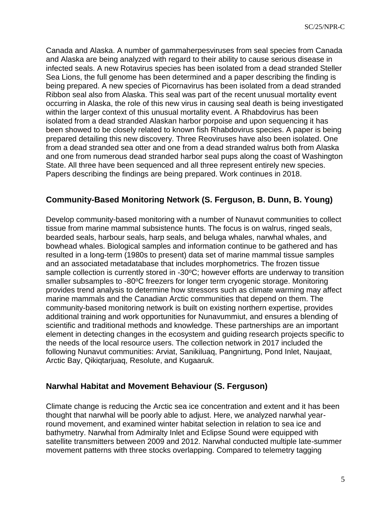Canada and Alaska. A number of gammaherpesviruses from seal species from Canada and Alaska are being analyzed with regard to their ability to cause serious disease in infected seals. A new Rotavirus species has been isolated from a dead stranded Steller Sea Lions, the full genome has been determined and a paper describing the finding is being prepared. A new species of Picornavirus has been isolated from a dead stranded Ribbon seal also from Alaska. This seal was part of the recent unusual mortality event occurring in Alaska, the role of this new virus in causing seal death is being investigated within the larger context of this unusual mortality event. A Rhabdovirus has been isolated from a dead stranded Alaskan harbor porpoise and upon sequencing it has been showed to be closely related to known fish Rhabdovirus species. A paper is being prepared detailing this new discovery. Three Reoviruses have also been isolated. One from a dead stranded sea otter and one from a dead stranded walrus both from Alaska and one from numerous dead stranded harbor seal pups along the coast of Washington State. All three have been sequenced and all three represent entirely new species. Papers describing the findings are being prepared. Work continues in 2018.

#### <span id="page-5-0"></span>**Community-Based Monitoring Network (S. Ferguson, B. Dunn, B. Young)**

Develop community-based monitoring with a number of Nunavut communities to collect tissue from marine mammal subsistence hunts. The focus is on walrus, ringed seals, bearded seals, harbour seals, harp seals, and beluga whales, narwhal whales, and bowhead whales. Biological samples and information continue to be gathered and has resulted in a long-term (1980s to present) data set of marine mammal tissue samples and an associated metadatabase that includes morphometrics. The frozen tissue sample collection is currently stored in -30°C; however efforts are underway to transition smaller subsamples to -80°C freezers for longer term cryogenic storage. Monitoring provides trend analysis to determine how stressors such as climate warming may affect marine mammals and the Canadian Arctic communities that depend on them. The community-based monitoring network is built on existing northern expertise, provides additional training and work opportunities for Nunavummiut, and ensures a blending of scientific and traditional methods and knowledge. These partnerships are an important element in detecting changes in the ecosystem and guiding research projects specific to the needs of the local resource users. The collection network in 2017 included the following Nunavut communities: Arviat, Sanikiluaq, Pangnirtung, Pond Inlet, Naujaat, Arctic Bay, Qikiqtarjuaq, Resolute, and Kugaaruk.

#### <span id="page-5-1"></span>**Narwhal Habitat and Movement Behaviour (S. Ferguson)**

Climate change is reducing the Arctic sea ice concentration and extent and it has been thought that narwhal will be poorly able to adjust. Here, we analyzed narwhal yearround movement, and examined winter habitat selection in relation to sea ice and bathymetry. Narwhal from Admiralty Inlet and Eclipse Sound were equipped with satellite transmitters between 2009 and 2012. Narwhal conducted multiple late-summer movement patterns with three stocks overlapping. Compared to telemetry tagging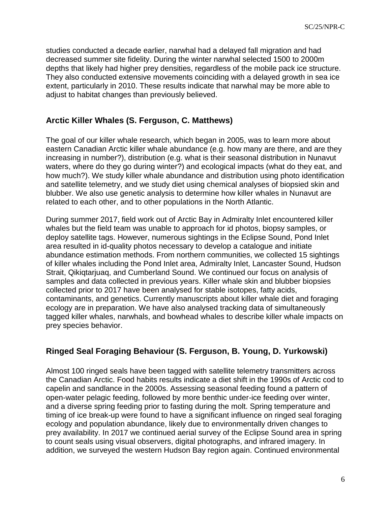studies conducted a decade earlier, narwhal had a delayed fall migration and had decreased summer site fidelity. During the winter narwhal selected 1500 to 2000m depths that likely had higher prey densities, regardless of the mobile pack ice structure. They also conducted extensive movements coinciding with a delayed growth in sea ice extent, particularly in 2010. These results indicate that narwhal may be more able to adjust to habitat changes than previously believed.

#### <span id="page-6-0"></span>**Arctic Killer Whales (S. Ferguson, C. Matthews)**

The goal of our killer whale research, which began in 2005, was to learn more about eastern Canadian Arctic killer whale abundance (e.g. how many are there, and are they increasing in number?), distribution (e.g. what is their seasonal distribution in Nunavut waters, where do they go during winter?) and ecological impacts (what do they eat, and how much?). We study killer whale abundance and distribution using photo identification and satellite telemetry, and we study diet using chemical analyses of biopsied skin and blubber. We also use genetic analysis to determine how killer whales in Nunavut are related to each other, and to other populations in the North Atlantic.

During summer 2017, field work out of Arctic Bay in Admiralty Inlet encountered killer whales but the field team was unable to approach for id photos, biopsy samples, or deploy satellite tags. However, numerous sightings in the Eclipse Sound, Pond Inlet area resulted in id-quality photos necessary to develop a catalogue and initiate abundance estimation methods. From northern communities, we collected 15 sightings of killer whales including the Pond Inlet area, Admiralty Inlet, Lancaster Sound, Hudson Strait, Qikiqtarjuaq, and Cumberland Sound. We continued our focus on analysis of samples and data collected in previous years. Killer whale skin and blubber biopsies collected prior to 2017 have been analysed for stable isotopes, fatty acids, contaminants, and genetics. Currently manuscripts about killer whale diet and foraging ecology are in preparation. We have also analysed tracking data of simultaneously tagged killer whales, narwhals, and bowhead whales to describe killer whale impacts on prey species behavior.

#### <span id="page-6-1"></span>**Ringed Seal Foraging Behaviour (S. Ferguson, B. Young, D. Yurkowski)**

Almost 100 ringed seals have been tagged with satellite telemetry transmitters across the Canadian Arctic. Food habits results indicate a diet shift in the 1990s of Arctic cod to capelin and sandlance in the 2000s. Assessing seasonal feeding found a pattern of open-water pelagic feeding, followed by more benthic under-ice feeding over winter, and a diverse spring feeding prior to fasting during the molt. Spring temperature and timing of ice break-up were found to have a significant influence on ringed seal foraging ecology and population abundance, likely due to environmentally driven changes to prey availability. In 2017 we continued aerial survey of the Eclipse Sound area in spring to count seals using visual observers, digital photographs, and infrared imagery. In addition, we surveyed the western Hudson Bay region again. Continued environmental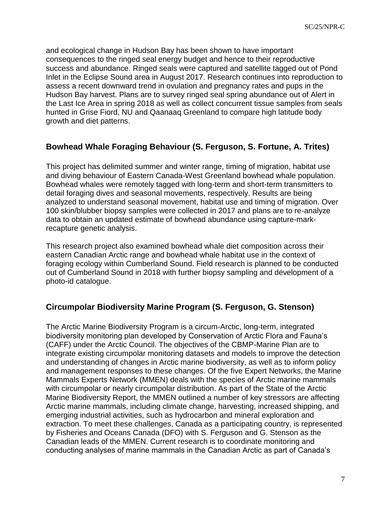and ecological change in Hudson Bay has been shown to have important consequences to the ringed seal energy budget and hence to their reproductive success and abundance. Ringed seals were captured and satellite tagged out of Pond Inlet in the Eclipse Sound area in August 2017. Research continues into reproduction to assess a recent downward trend in ovulation and pregnancy rates and pups in the Hudson Bay harvest. Plans are to survey ringed seal spring abundance out of Alert in the Last Ice Area in spring 2018 as well as collect concurrent tissue samples from seals hunted in Grise Fiord, NU and Qaanaaq Greenland to compare high latitude body growth and diet patterns.

#### <span id="page-7-0"></span>**Bowhead Whale Foraging Behaviour (S. Ferguson, S. Fortune, A. Trites)**

This project has delimited summer and winter range, timing of migration, habitat use and diving behaviour of Eastern Canada-West Greenland bowhead whale population. Bowhead whales were remotely tagged with long-term and short-term transmitters to detail foraging dives and seasonal movements, respectively. Results are being analyzed to understand seasonal movement, habitat use and timing of migration. Over 100 skin/blubber biopsy samples were collected in 2017 and plans are to re-analyze data to obtain an updated estimate of bowhead abundance using capture-markrecapture genetic analysis.

This research project also examined bowhead whale diet composition across their eastern Canadian Arctic range and bowhead whale habitat use in the context of foraging ecology within Cumberland Sound. Field research is planned to be conducted out of Cumberland Sound in 2018 with further biopsy sampling and development of a photo-id catalogue.

### <span id="page-7-1"></span>**Circumpolar Biodiversity Marine Program (S. Ferguson, G. Stenson)**

The Arctic Marine Biodiversity Program is a circum-Arctic, long-term, integrated biodiversity monitoring plan developed by Conservation of Arctic Flora and Fauna's (CAFF) under the Arctic Council. The objectives of the CBMP-Marine Plan are to integrate existing circumpolar monitoring datasets and models to improve the detection and understanding of changes in Arctic marine biodiversity, as well as to inform policy and management responses to these changes. Of the five Expert Networks, the Marine Mammals Experts Network (MMEN) deals with the species of Arctic marine mammals with circumpolar or nearly circumpolar distribution. As part of the State of the Arctic Marine Biodiversity Report, the MMEN outlined a number of key stressors are affecting Arctic marine mammals, including climate change, harvesting, increased shipping, and emerging industrial activities, such as hydrocarbon and mineral exploration and extraction. To meet these challenges, Canada as a participating country, is represented by Fisheries and Oceans Canada (DFO) with S. Ferguson and G. Stenson as the Canadian leads of the MMEN. Current research is to coordinate monitoring and conducting analyses of marine mammals in the Canadian Arctic as part of Canada's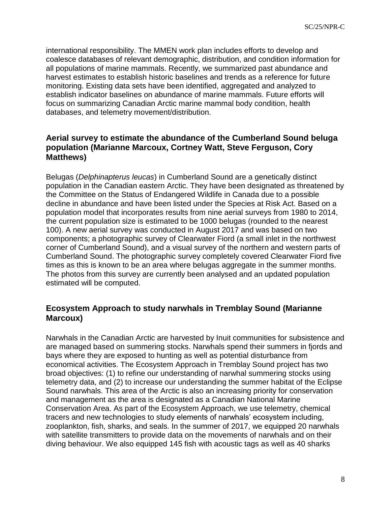international responsibility. The MMEN work plan includes efforts to develop and coalesce databases of relevant demographic, distribution, and condition information for all populations of marine mammals. Recently, we summarized past abundance and harvest estimates to establish historic baselines and trends as a reference for future monitoring. Existing data sets have been identified, aggregated and analyzed to establish indicator baselines on abundance of marine mammals. Future efforts will focus on summarizing Canadian Arctic marine mammal body condition, health databases, and telemetry movement/distribution.

#### <span id="page-8-0"></span>**Aerial survey to estimate the abundance of the Cumberland Sound beluga population (Marianne Marcoux, Cortney Watt, Steve Ferguson, Cory Matthews)**

Belugas (*Delphinapterus leucas*) in Cumberland Sound are a genetically distinct population in the Canadian eastern Arctic. They have been designated as threatened by the Committee on the Status of Endangered Wildlife in Canada due to a possible decline in abundance and have been listed under the Species at Risk Act. Based on a population model that incorporates results from nine aerial surveys from 1980 to 2014, the current population size is estimated to be 1000 belugas (rounded to the nearest 100). A new aerial survey was conducted in August 2017 and was based on two components; a photographic survey of Clearwater Fiord (a small inlet in the northwest corner of Cumberland Sound), and a visual survey of the northern and western parts of Cumberland Sound. The photographic survey completely covered Clearwater Fiord five times as this is known to be an area where belugas aggregate in the summer months. The photos from this survey are currently been analysed and an updated population estimated will be computed.

#### <span id="page-8-1"></span>**Ecosystem Approach to study narwhals in Tremblay Sound (Marianne Marcoux)**

Narwhals in the Canadian Arctic are harvested by Inuit communities for subsistence and are managed based on summering stocks. Narwhals spend their summers in fjords and bays where they are exposed to hunting as well as potential disturbance from economical activities. The Ecosystem Approach in Tremblay Sound project has two broad objectives: (1) to refine our understanding of narwhal summering stocks using telemetry data, and (2) to increase our understanding the summer habitat of the Eclipse Sound narwhals. This area of the Arctic is also an increasing priority for conservation and management as the area is designated as a Canadian National Marine Conservation Area. As part of the Ecosystem Approach, we use telemetry, chemical tracers and new technologies to study elements of narwhals' ecosystem including, zooplankton, fish, sharks, and seals. In the summer of 2017, we equipped 20 narwhals with satellite transmitters to provide data on the movements of narwhals and on their diving behaviour. We also equipped 145 fish with acoustic tags as well as 40 sharks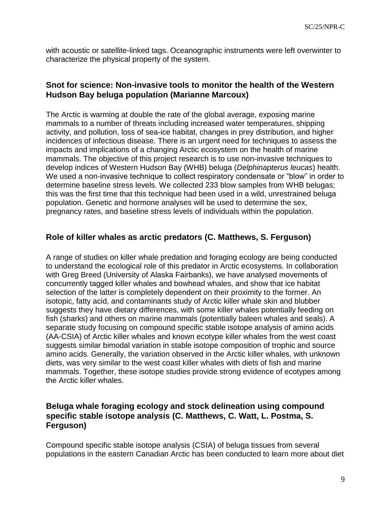with acoustic or satellite-linked tags. Oceanographic instruments were left overwinter to characterize the physical property of the system.

#### <span id="page-9-0"></span>**Snot for science: Non-invasive tools to monitor the health of the Western Hudson Bay beluga population (Marianne Marcoux)**

The Arctic is warming at double the rate of the global average, exposing marine mammals to a number of threats including increased water temperatures, shipping activity, and pollution, loss of sea-ice habitat, changes in prey distribution, and higher incidences of infectious disease. There is an urgent need for techniques to assess the impacts and implications of a changing Arctic ecosystem on the health of marine mammals. The objective of this project research is to use non-invasive techniques to develop indices of Western Hudson Bay (WHB) beluga (*Delphinapterus leucas*) health. We used a non-invasive technique to collect respiratory condensate or "blow" in order to determine baseline stress levels. We collected 233 blow samples from WHB belugas; this was the first time that this technique had been used in a wild, unrestrained beluga population. Genetic and hormone analyses will be used to determine the sex, pregnancy rates, and baseline stress levels of individuals within the population.

#### <span id="page-9-1"></span>**Role of killer whales as arctic predators (C. Matthews, S. Ferguson)**

A range of studies on killer whale predation and foraging ecology are being conducted to understand the ecological role of this predator in Arctic ecosystems. In collaboration with Greg Breed (University of Alaska Fairbanks), we have analysed movements of concurrently tagged killer whales and bowhead whales, and show that ice habitat selection of the latter is completely dependent on their proximity to the former. An isotopic, fatty acid, and contaminants study of Arctic killer whale skin and blubber suggests they have dietary differences, with some killer whales potentially feeding on fish (sharks) and others on marine mammals (potentially baleen whales and seals). A separate study focusing on compound specific stable isotope analysis of amino acids (AA-CSIA) of Arctic killer whales and known ecotype killer whales from the west coast suggests similar bimodal variation in stable isotope composition of trophic and source amino acids. Generally, the variation observed in the Arctic killer whales, with unknown diets, was very similar to the west coast killer whales with diets of fish and marine mammals. Together, these isotope studies provide strong evidence of ecotypes among the Arctic killer whales.

#### <span id="page-9-2"></span>**Beluga whale foraging ecology and stock delineation using compound specific stable isotope analysis (C. Matthews, C. Watt, L. Postma, S. Ferguson)**

Compound specific stable isotope analysis (CSIA) of beluga tissues from several populations in the eastern Canadian Arctic has been conducted to learn more about diet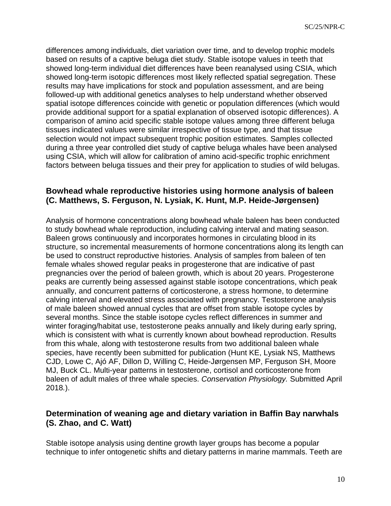differences among individuals, diet variation over time, and to develop trophic models based on results of a captive beluga diet study. Stable isotope values in teeth that showed long-term individual diet differences have been reanalysed using CSIA, which showed long-term isotopic differences most likely reflected spatial segregation. These results may have implications for stock and population assessment, and are being followed-up with additional genetics analyses to help understand whether observed spatial isotope differences coincide with genetic or population differences (which would provide additional support for a spatial explanation of observed isotopic differences). A comparison of amino acid specific stable isotope values among three different beluga tissues indicated values were similar irrespective of tissue type, and that tissue selection would not impact subsequent trophic position estimates. Samples collected during a three year controlled diet study of captive beluga whales have been analysed using CSIA, which will allow for calibration of amino acid-specific trophic enrichment factors between beluga tissues and their prey for application to studies of wild belugas.

#### <span id="page-10-0"></span>**Bowhead whale reproductive histories using hormone analysis of baleen (C. Matthews, S. Ferguson, N. Lysiak, K. Hunt, M.P. Heide-Jørgensen)**

Analysis of hormone concentrations along bowhead whale baleen has been conducted to study bowhead whale reproduction, including calving interval and mating season. Baleen grows continuously and incorporates hormones in circulating blood in its structure, so incremental measurements of hormone concentrations along its length can be used to construct reproductive histories. Analysis of samples from baleen of ten female whales showed regular peaks in progesterone that are indicative of past pregnancies over the period of baleen growth, which is about 20 years. Progesterone peaks are currently being assessed against stable isotope concentrations, which peak annually, and concurrent patterns of corticosterone, a stress hormone, to determine calving interval and elevated stress associated with pregnancy. Testosterone analysis of male baleen showed annual cycles that are offset from stable isotope cycles by several months. Since the stable isotope cycles reflect differences in summer and winter foraging/habitat use, testosterone peaks annually and likely during early spring, which is consistent with what is currently known about bowhead reproduction. Results from this whale, along with testosterone results from two additional baleen whale species, have recently been submitted for publication (Hunt KE, Lysiak NS, Matthews CJD, Lowe C, Ajó AF, Dillon D, Willing C, Heide-Jørgensen MP, Ferguson SH, Moore MJ, Buck CL. Multi-year patterns in testosterone, cortisol and corticosterone from baleen of adult males of three whale species. *Conservation Physiology.* Submitted April 2018*.*).

#### <span id="page-10-1"></span>**Determination of weaning age and dietary variation in Baffin Bay narwhals (S. Zhao, and C. Watt)**

Stable isotope analysis using dentine growth layer groups has become a popular technique to infer ontogenetic shifts and dietary patterns in marine mammals. Teeth are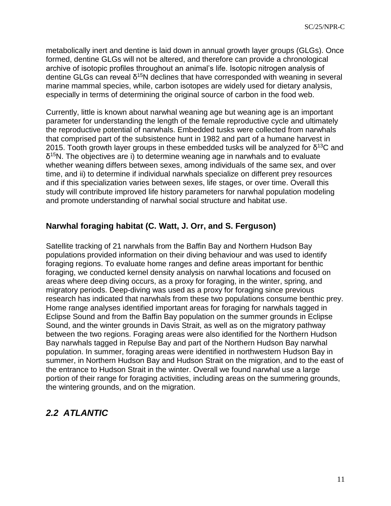metabolically inert and dentine is laid down in annual growth layer groups (GLGs). Once formed, dentine GLGs will not be altered, and therefore can provide a chronological archive of isotopic profiles throughout an animal's life. Isotopic nitrogen analysis of dentine GLGs can reveal  $\delta^{15}N$  declines that have corresponded with weaning in several marine mammal species, while, carbon isotopes are widely used for dietary analysis, especially in terms of determining the original source of carbon in the food web.

Currently, little is known about narwhal weaning age but weaning age is an important parameter for understanding the length of the female reproductive cycle and ultimately the reproductive potential of narwhals. Embedded tusks were collected from narwhals that comprised part of the subsistence hunt in 1982 and part of a humane harvest in 2015. Tooth growth layer groups in these embedded tusks will be analyzed for  $\delta^{13}$ C and  $δ<sup>15</sup>N$ . The objectives are i) to determine weaning age in narwhals and to evaluate whether weaning differs between sexes, among individuals of the same sex, and over time, and ii) to determine if individual narwhals specialize on different prey resources and if this specialization varies between sexes, life stages, or over time. Overall this study will contribute improved life history parameters for narwhal population modeling and promote understanding of narwhal social structure and habitat use.

#### <span id="page-11-0"></span>**Narwhal foraging habitat (C. Watt, J. Orr, and S. Ferguson)**

Satellite tracking of 21 narwhals from the Baffin Bay and Northern Hudson Bay populations provided information on their diving behaviour and was used to identify foraging regions. To evaluate home ranges and define areas important for benthic foraging, we conducted kernel density analysis on narwhal locations and focused on areas where deep diving occurs, as a proxy for foraging, in the winter, spring, and migratory periods. Deep-diving was used as a proxy for foraging since previous research has indicated that narwhals from these two populations consume benthic prey. Home range analyses identified important areas for foraging for narwhals tagged in Eclipse Sound and from the Baffin Bay population on the summer grounds in Eclipse Sound, and the winter grounds in Davis Strait, as well as on the migratory pathway between the two regions. Foraging areas were also identified for the Northern Hudson Bay narwhals tagged in Repulse Bay and part of the Northern Hudson Bay narwhal population. In summer, foraging areas were identified in northwestern Hudson Bay in summer, in Northern Hudson Bay and Hudson Strait on the migration, and to the east of the entrance to Hudson Strait in the winter. Overall we found narwhal use a large portion of their range for foraging activities, including areas on the summering grounds, the wintering grounds, and on the migration.

### <span id="page-11-1"></span>*2.2 ATLANTIC*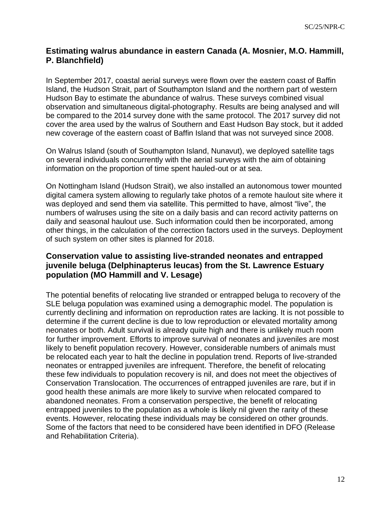#### <span id="page-12-0"></span>**Estimating walrus abundance in eastern Canada (A. Mosnier, M.O. Hammill, P. Blanchfield)**

In September 2017, coastal aerial surveys were flown over the eastern coast of Baffin Island, the Hudson Strait, part of Southampton Island and the northern part of western Hudson Bay to estimate the abundance of walrus. These surveys combined visual observation and simultaneous digital-photography. Results are being analysed and will be compared to the 2014 survey done with the same protocol. The 2017 survey did not cover the area used by the walrus of Southern and East Hudson Bay stock, but it added new coverage of the eastern coast of Baffin Island that was not surveyed since 2008.

On Walrus Island (south of Southampton Island, Nunavut), we deployed satellite tags on several individuals concurrently with the aerial surveys with the aim of obtaining information on the proportion of time spent hauled-out or at sea.

On Nottingham Island (Hudson Strait), we also installed an autonomous tower mounted digital camera system allowing to regularly take photos of a remote haulout site where it was deployed and send them via satellite. This permitted to have, almost "live", the numbers of walruses using the site on a daily basis and can record activity patterns on daily and seasonal haulout use. Such information could then be incorporated, among other things, in the calculation of the correction factors used in the surveys. Deployment of such system on other sites is planned for 2018.

#### <span id="page-12-1"></span>**Conservation value to assisting live-stranded neonates and entrapped juvenile beluga (Delphinapterus leucas) from the St. Lawrence Estuary population (MO Hammill and V. Lesage)**

The potential benefits of relocating live stranded or entrapped beluga to recovery of the SLE beluga population was examined using a demographic model. The population is currently declining and information on reproduction rates are lacking. It is not possible to determine if the current decline is due to low reproduction or elevated mortality among neonates or both. Adult survival is already quite high and there is unlikely much room for further improvement. Efforts to improve survival of neonates and juveniles are most likely to benefit population recovery. However, considerable numbers of animals must be relocated each year to halt the decline in population trend. Reports of live-stranded neonates or entrapped juveniles are infrequent. Therefore, the benefit of relocating these few individuals to population recovery is nil, and does not meet the objectives of Conservation Translocation. The occurrences of entrapped juveniles are rare, but if in good health these animals are more likely to survive when relocated compared to abandoned neonates. From a conservation perspective, the benefit of relocating entrapped juveniles to the population as a whole is likely nil given the rarity of these events. However, relocating these individuals may be considered on other grounds. Some of the factors that need to be considered have been identified in DFO (Release and Rehabilitation Criteria).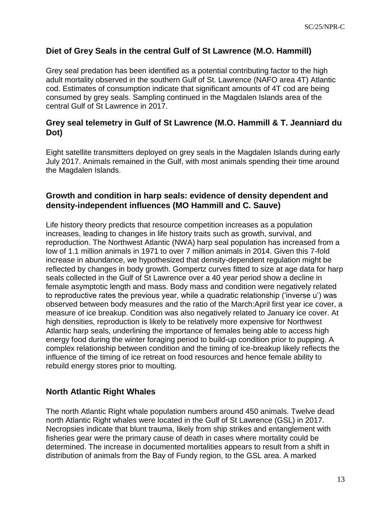#### <span id="page-13-0"></span>**Diet of Grey Seals in the central Gulf of St Lawrence (M.O. Hammill)**

Grey seal predation has been identified as a potential contributing factor to the high adult mortality observed in the southern Gulf of St. Lawrence (NAFO area 4T) Atlantic cod. Estimates of consumption indicate that significant amounts of 4T cod are being consumed by grey seals. Sampling continued in the Magdalen Islands area of the central Gulf of St Lawrence in 2017.

#### <span id="page-13-1"></span>**Grey seal telemetry in Gulf of St Lawrence (M.O. Hammill & T. Jeanniard du Dot)**

Eight satellite transmitters deployed on grey seals in the Magdalen Islands during early July 2017. Animals remained in the Gulf, with most animals spending their time around the Magdalen Islands.

#### <span id="page-13-2"></span>**Growth and condition in harp seals: evidence of density dependent and density-independent influences (MO Hammill and C. Sauve)**

Life history theory predicts that resource competition increases as a population increases, leading to changes in life history traits such as growth, survival, and reproduction. The Northwest Atlantic (NWA) harp seal population has increased from a low of 1.1 million animals in 1971 to over 7 million animals in 2014. Given this 7-fold increase in abundance, we hypothesized that density-dependent regulation might be reflected by changes in body growth. Gompertz curves fitted to size at age data for harp seals collected in the Gulf of St Lawrence over a 40 year period show a decline in female asymptotic length and mass. Body mass and condition were negatively related to reproductive rates the previous year, while a quadratic relationship ('inverse u') was observed between body measures and the ratio of the March:April first year ice cover, a measure of ice breakup. Condition was also negatively related to January ice cover. At high densities, reproduction is likely to be relatively more expensive for Northwest Atlantic harp seals, underlining the importance of females being able to access high energy food during the winter foraging period to build-up condition prior to pupping. A complex relationship between condition and the timing of ice-breakup likely reflects the influence of the timing of ice retreat on food resources and hence female ability to rebuild energy stores prior to moulting.

### <span id="page-13-3"></span>**North Atlantic Right Whales**

The north Atlantic Right whale population numbers around 450 animals. Twelve dead north Atlantic Right whales were located in the Gulf of St Lawrence (GSL) in 2017. Necropsies indicate that blunt trauma, likely from ship strikes and entanglement with fisheries gear were the primary cause of death in cases where mortality could be determined. The increase in documented mortalities appears to result from a shift in distribution of animals from the Bay of Fundy region, to the GSL area. A marked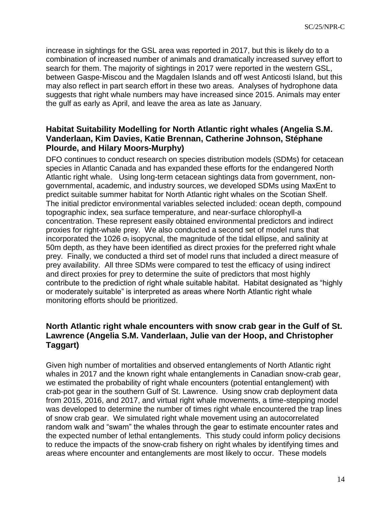increase in sightings for the GSL area was reported in 2017, but this is likely do to a combination of increased number of animals and dramatically increased survey effort to search for them. The majority of sightings in 2017 were reported in the western GSL, between Gaspe-Miscou and the Magdalen Islands and off west Anticosti Island, but this may also reflect in part search effort in these two areas. Analyses of hydrophone data suggests that right whale numbers may have increased since 2015. Animals may enter the gulf as early as April, and leave the area as late as January.

#### <span id="page-14-0"></span>**Habitat Suitability Modelling for North Atlantic right whales (Angelia S.M. Vanderlaan, Kim Davies, Katie Brennan, Catherine Johnson, Stéphane Plourde, and Hilary Moors-Murphy)**

DFO continues to conduct research on species distribution models (SDMs) for cetacean species in Atlantic Canada and has expanded these efforts for the endangered North Atlantic right whale. Using long-term cetacean sightings data from government, nongovernmental, academic, and industry sources, we developed SDMs using MaxEnt to predict suitable summer habitat for North Atlantic right whales on the Scotian Shelf. The initial predictor environmental variables selected included: ocean depth, compound topographic index, sea surface temperature, and near-surface chlorophyll-a concentration. These represent easily obtained environmental predictors and indirect proxies for right-whale prey. We also conducted a second set of model runs that incorporated the 1026  $\sigma_t$  isopycnal, the magnitude of the tidal ellipse, and salinity at 50m depth, as they have been identified as direct proxies for the preferred right whale prey. Finally, we conducted a third set of model runs that included a direct measure of prey availability. All three SDMs were compared to test the efficacy of using indirect and direct proxies for prey to determine the suite of predictors that most highly contribute to the prediction of right whale suitable habitat. Habitat designated as "highly or moderately suitable" is interpreted as areas where North Atlantic right whale monitoring efforts should be prioritized.

#### <span id="page-14-1"></span>**North Atlantic right whale encounters with snow crab gear in the Gulf of St. Lawrence (Angelia S.M. Vanderlaan, Julie van der Hoop, and Christopher Taggart)**

Given high number of mortalities and observed entanglements of North Atlantic right whales in 2017 and the known right whale entanglements in Canadian snow-crab gear, we estimated the probability of right whale encounters (potential entanglement) with crab-pot gear in the southern Gulf of St. Lawrence. Using snow crab deployment data from 2015, 2016, and 2017, and virtual right whale movements, a time-stepping model was developed to determine the number of times right whale encountered the trap lines of snow crab gear. We simulated right whale movement using an autocorrelated random walk and "swam" the whales through the gear to estimate encounter rates and the expected number of lethal entanglements. This study could inform policy decisions to reduce the impacts of the snow-crab fishery on right whales by identifying times and areas where encounter and entanglements are most likely to occur. These models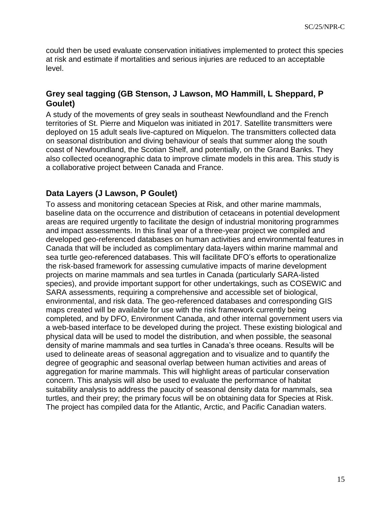could then be used evaluate conservation initiatives implemented to protect this species at risk and estimate if mortalities and serious injuries are reduced to an acceptable level.

#### <span id="page-15-0"></span>**Grey seal tagging (GB Stenson, J Lawson, MO Hammill, L Sheppard, P Goulet)**

A study of the movements of grey seals in southeast Newfoundland and the French territories of St. Pierre and Miquelon was initiated in 2017. Satellite transmitters were deployed on 15 adult seals live-captured on Miquelon. The transmitters collected data on seasonal distribution and diving behaviour of seals that summer along the south coast of Newfoundland, the Scotian Shelf, and potentially, on the Grand Banks. They also collected oceanographic data to improve climate models in this area. This study is a collaborative project between Canada and France.

#### <span id="page-15-1"></span>**Data Layers (J Lawson, P Goulet)**

To assess and monitoring cetacean Species at Risk, and other marine mammals, baseline data on the occurrence and distribution of cetaceans in potential development areas are required urgently to facilitate the design of industrial monitoring programmes and impact assessments. In this final year of a three-year project we compiled and developed geo-referenced databases on human activities and environmental features in Canada that will be included as complimentary data-layers within marine mammal and sea turtle geo-referenced databases. This will facilitate DFO's efforts to operationalize the risk-based framework for assessing cumulative impacts of marine development projects on marine mammals and sea turtles in Canada (particularly SARA-listed species), and provide important support for other undertakings, such as COSEWIC and SARA assessments, requiring a comprehensive and accessible set of biological, environmental, and risk data. The geo-referenced databases and corresponding GIS maps created will be available for use with the risk framework currently being completed, and by DFO, Environment Canada, and other internal government users via a web-based interface to be developed during the project. These existing biological and physical data will be used to model the distribution, and when possible, the seasonal density of marine mammals and sea turtles in Canada's three oceans. Results will be used to delineate areas of seasonal aggregation and to visualize and to quantify the degree of geographic and seasonal overlap between human activities and areas of aggregation for marine mammals. This will highlight areas of particular conservation concern. This analysis will also be used to evaluate the performance of habitat suitability analysis to address the paucity of seasonal density data for mammals, sea turtles, and their prey; the primary focus will be on obtaining data for Species at Risk. The project has compiled data for the Atlantic, Arctic, and Pacific Canadian waters.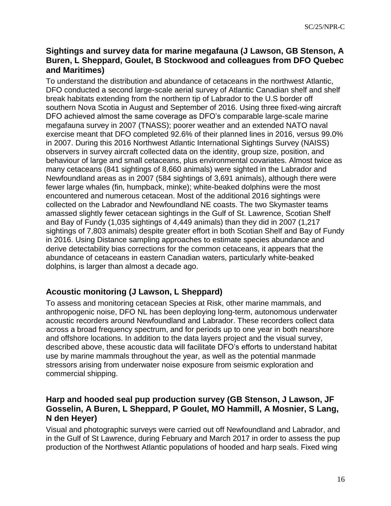#### <span id="page-16-0"></span>**Sightings and survey data for marine megafauna (J Lawson, GB Stenson, A Buren, L Sheppard, Goulet, B Stockwood and colleagues from DFO Quebec and Maritimes)**

To understand the distribution and abundance of cetaceans in the northwest Atlantic, DFO conducted a second large-scale aerial survey of Atlantic Canadian shelf and shelf break habitats extending from the northern tip of Labrador to the U.S border off southern Nova Scotia in August and September of 2016. Using three fixed-wing aircraft DFO achieved almost the same coverage as DFO's comparable large-scale marine megafauna survey in 2007 (TNASS); poorer weather and an extended NATO naval exercise meant that DFO completed 92.6% of their planned lines in 2016, versus 99.0% in 2007. During this 2016 Northwest Atlantic International Sightings Survey (NAISS) observers in survey aircraft collected data on the identity, group size, position, and behaviour of large and small cetaceans, plus environmental covariates. Almost twice as many cetaceans (841 sightings of 8,660 animals) were sighted in the Labrador and Newfoundland areas as in 2007 (584 sightings of 3,691 animals), although there were fewer large whales (fin, humpback, minke); white-beaked dolphins were the most encountered and numerous cetacean. Most of the additional 2016 sightings were collected on the Labrador and Newfoundland NE coasts. The two Skymaster teams amassed slightly fewer cetacean sightings in the Gulf of St. Lawrence, Scotian Shelf and Bay of Fundy (1,035 sightings of 4,449 animals) than they did in 2007 (1,217 sightings of 7,803 animals) despite greater effort in both Scotian Shelf and Bay of Fundy in 2016. Using Distance sampling approaches to estimate species abundance and derive detectability bias corrections for the common cetaceans, it appears that the abundance of cetaceans in eastern Canadian waters, particularly white-beaked dolphins, is larger than almost a decade ago.

### <span id="page-16-1"></span>**Acoustic monitoring (J Lawson, L Sheppard)**

To assess and monitoring cetacean Species at Risk, other marine mammals, and anthropogenic noise, DFO NL has been deploying long-term, autonomous underwater acoustic recorders around Newfoundland and Labrador. These recorders collect data across a broad frequency spectrum, and for periods up to one year in both nearshore and offshore locations. In addition to the data layers project and the visual survey, described above, these acoustic data will facilitate DFO's efforts to understand habitat use by marine mammals throughout the year, as well as the potential manmade stressors arising from underwater noise exposure from seismic exploration and commercial shipping.

#### <span id="page-16-2"></span>**Harp and hooded seal pup production survey (GB Stenson, J Lawson, JF Gosselin, A Buren, L Sheppard, P Goulet, MO Hammill, A Mosnier, S Lang, N den Heyer)**

Visual and photographic surveys were carried out off Newfoundland and Labrador, and in the Gulf of St Lawrence, during February and March 2017 in order to assess the pup production of the Northwest Atlantic populations of hooded and harp seals. Fixed wing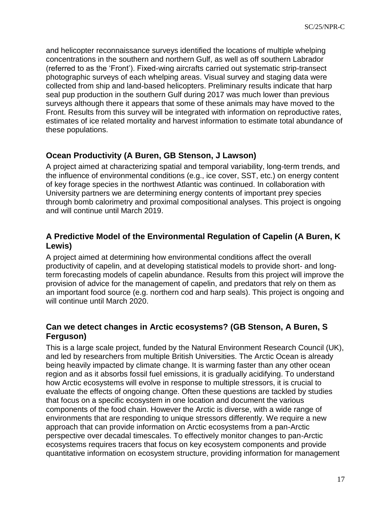and helicopter reconnaissance surveys identified the locations of multiple whelping concentrations in the southern and northern Gulf, as well as off southern Labrador (referred to as the 'Front'). Fixed-wing aircrafts carried out systematic strip-transect photographic surveys of each whelping areas. Visual survey and staging data were collected from ship and land-based helicopters. Preliminary results indicate that harp seal pup production in the southern Gulf during 2017 was much lower than previous surveys although there it appears that some of these animals may have moved to the Front. Results from this survey will be integrated with information on reproductive rates, estimates of ice related mortality and harvest information to estimate total abundance of these populations.

### <span id="page-17-0"></span>**Ocean Productivity (A Buren, GB Stenson, J Lawson)**

A project aimed at characterizing spatial and temporal variability, long-term trends, and the influence of environmental conditions (e.g., ice cover, SST, etc.) on energy content of key forage species in the northwest Atlantic was continued. In collaboration with University partners we are determining energy contents of important prey species through bomb calorimetry and proximal compositional analyses. This project is ongoing and will continue until March 2019.

#### <span id="page-17-1"></span>**A Predictive Model of the Environmental Regulation of Capelin (A Buren, K Lewis)**

A project aimed at determining how environmental conditions affect the overall productivity of capelin, and at developing statistical models to provide short- and longterm forecasting models of capelin abundance. Results from this project will improve the provision of advice for the management of capelin, and predators that rely on them as an important food source (e.g. northern cod and harp seals). This project is ongoing and will continue until March 2020.

#### <span id="page-17-2"></span>**Can we detect changes in Arctic ecosystems? (GB Stenson, A Buren, S Ferguson)**

This is a large scale project, funded by the Natural Environment Research Council (UK), and led by researchers from multiple British Universities. The Arctic Ocean is already being heavily impacted by climate change. It is warming faster than any other ocean region and as it absorbs fossil fuel emissions, it is gradually acidifying. To understand how Arctic ecosystems will evolve in response to multiple stressors, it is crucial to evaluate the effects of ongoing change. Often these questions are tackled by studies that focus on a specific ecosystem in one location and document the various components of the food chain. However the Arctic is diverse, with a wide range of environments that are responding to unique stressors differently. We require a new approach that can provide information on Arctic ecosystems from a pan-Arctic perspective over decadal timescales. To effectively monitor changes to pan-Arctic ecosystems requires tracers that focus on key ecosystem components and provide quantitative information on ecosystem structure, providing information for management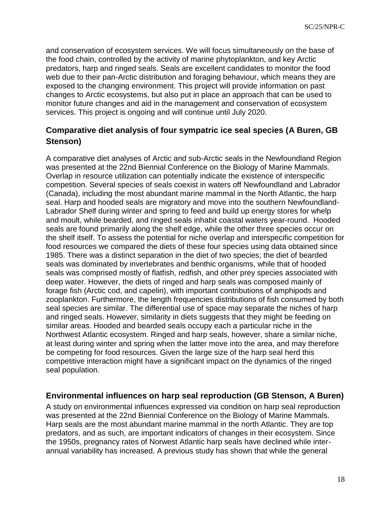and conservation of ecosystem services. We will focus simultaneously on the base of the food chain, controlled by the activity of marine phytoplankton, and key Arctic predators, harp and ringed seals. Seals are excellent candidates to monitor the food web due to their pan-Arctic distribution and foraging behaviour, which means they are exposed to the changing environment. This project will provide information on past changes to Arctic ecosystems, but also put in place an approach that can be used to monitor future changes and aid in the management and conservation of ecosystem services. This project is ongoing and will continue until July 2020.

### **Comparative diet analysis of four sympatric ice seal species (A Buren, GB Stenson)**

A comparative diet analyses of Arctic and sub-Arctic seals in the Newfoundland Region was presented at the 22nd Biennial Conference on the Biology of Marine Mammals. Overlap in resource utilization can potentially indicate the existence of interspecific competition. Several species of seals coexist in waters off Newfoundland and Labrador (Canada), including the most abundant marine mammal in the North Atlantic, the harp seal. Harp and hooded seals are migratory and move into the southern Newfoundland-Labrador Shelf during winter and spring to feed and build up energy stores for whelp and moult, while bearded, and ringed seals inhabit coastal waters year-round. Hooded seals are found primarily along the shelf edge, while the other three species occur on the shelf itself. To assess the potential for niche overlap and interspecific competition for food resources we compared the diets of these four species using data obtained since 1985. There was a distinct separation in the diet of two species; the diet of bearded seals was dominated by invertebrates and benthic organisms, while that of hooded seals was comprised mostly of flatfish, redfish, and other prey species associated with deep water. However, the diets of ringed and harp seals was composed mainly of forage fish (Arctic cod, and capelin), with important contributions of amphipods and zooplankton. Furthermore, the length frequencies distributions of fish consumed by both seal species are similar. The differential use of space may separate the niches of harp and ringed seals. However, similarity in diets suggests that they might be feeding on similar areas. Hooded and bearded seals occupy each a particular niche in the Northwest Atlantic ecosystem. Ringed and harp seals, however, share a similar niche, at least during winter and spring when the latter move into the area, and may therefore be competing for food resources. Given the large size of the harp seal herd this competitive interaction might have a significant impact on the dynamics of the ringed seal population.

#### <span id="page-18-0"></span>**Environmental influences on harp seal reproduction (GB Stenson, A Buren)**

A study on environmental influences expressed via condition on harp seal reproduction was presented at the 22nd Biennial Conference on the Biology of Marine Mammals. Harp seals are the most abundant marine mammal in the north Atlantic. They are top predators, and as such, are important indicators of changes in their ecosystem. Since the 1950s, pregnancy rates of Norwest Atlantic harp seals have declined while interannual variability has increased. A previous study has shown that while the general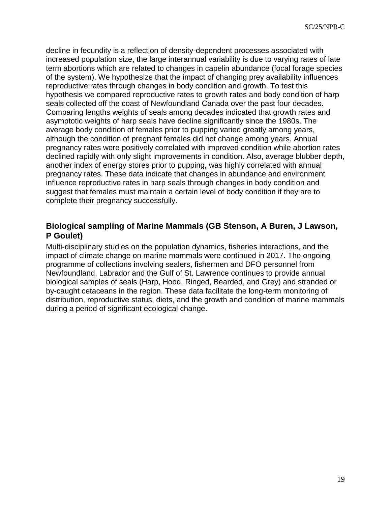decline in fecundity is a reflection of density-dependent processes associated with increased population size, the large interannual variability is due to varying rates of late term abortions which are related to changes in capelin abundance (focal forage species of the system). We hypothesize that the impact of changing prey availability influences reproductive rates through changes in body condition and growth. To test this hypothesis we compared reproductive rates to growth rates and body condition of harp seals collected off the coast of Newfoundland Canada over the past four decades. Comparing lengths weights of seals among decades indicated that growth rates and asymptotic weights of harp seals have decline significantly since the 1980s. The average body condition of females prior to pupping varied greatly among years, although the condition of pregnant females did not change among years. Annual pregnancy rates were positively correlated with improved condition while abortion rates declined rapidly with only slight improvements in condition. Also, average blubber depth, another index of energy stores prior to pupping, was highly correlated with annual pregnancy rates. These data indicate that changes in abundance and environment influence reproductive rates in harp seals through changes in body condition and suggest that females must maintain a certain level of body condition if they are to complete their pregnancy successfully.

#### <span id="page-19-0"></span>**Biological sampling of Marine Mammals (GB Stenson, A Buren, J Lawson, P Goulet)**

<span id="page-19-1"></span>Multi-disciplinary studies on the population dynamics, fisheries interactions, and the impact of climate change on marine mammals were continued in 2017. The ongoing programme of collections involving sealers, fishermen and DFO personnel from Newfoundland, Labrador and the Gulf of St. Lawrence continues to provide annual biological samples of seals (Harp, Hood, Ringed, Bearded, and Grey) and stranded or by-caught cetaceans in the region. These data facilitate the long-term monitoring of distribution, reproductive status, diets, and the growth and condition of marine mammals during a period of significant ecological change.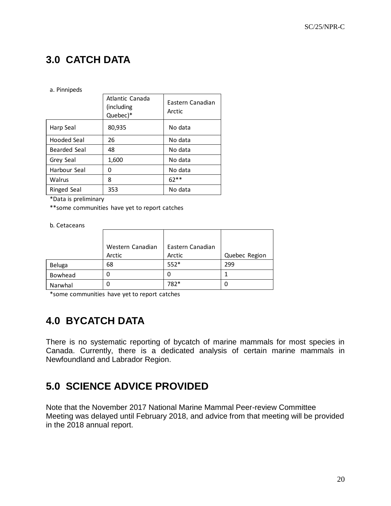# **3.0 CATCH DATA**

#### a. Pinnipeds

|              | Atlantic Canada<br>(including)<br>Quebec)* | Eastern Canadian<br>Arctic |  |
|--------------|--------------------------------------------|----------------------------|--|
| Harp Seal    | 80,935                                     | No data                    |  |
| Hooded Seal  | 26                                         | No data                    |  |
| Bearded Seal | 48                                         | No data                    |  |
| Grey Seal    | 1,600                                      | No data                    |  |
| Harbour Seal | O                                          | No data                    |  |
| Walrus       | 8                                          | $62**$                     |  |
| Ringed Seal  | 353                                        | No data                    |  |

\*Data is preliminary

\*\*some communities have yet to report catches

b. Cetaceans

|         | Western Canadian | Eastern Canadian |               |
|---------|------------------|------------------|---------------|
|         | Arctic           | Arctic           | Quebec Region |
| Beluga  | 68               | $552*$           | 299           |
| Bowhead | 0                | 0                |               |
| Narwhal | 0                | 782*             | 0             |

\*some communities have yet to report catches

# <span id="page-20-0"></span>**4.0 BYCATCH DATA**

There is no systematic reporting of bycatch of marine mammals for most species in Canada. Currently, there is a dedicated analysis of certain marine mammals in Newfoundland and Labrador Region.

## <span id="page-20-1"></span>**5.0 SCIENCE ADVICE PROVIDED**

Note that the November 2017 National Marine Mammal Peer-review Committee Meeting was delayed until February 2018, and advice from that meeting will be provided in the 2018 annual report.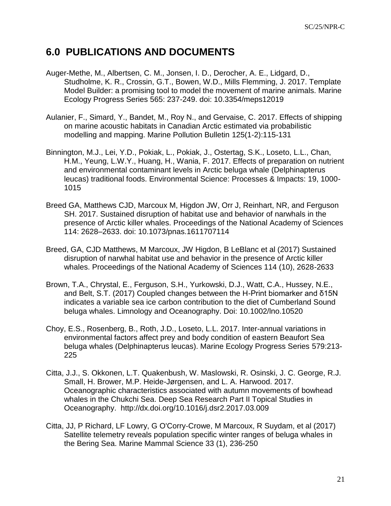## <span id="page-21-0"></span>**6.0 PUBLICATIONS AND DOCUMENTS**

- Auger-Methe, M., Albertsen, C. M., Jonsen, I. D., Derocher, A. E., Lidgard, D., Studholme, K. R., Crossin, G.T., Bowen, W.D., Mills Flemming, J. 2017. Template Model Builder: a promising tool to model the movement of marine animals. Marine Ecology Progress Series 565: 237-249. doi: 10.3354/meps12019
- Aulanier, F., Simard, Y., Bandet, M., Roy N., and Gervaise, C. 2017. Effects of shipping on marine acoustic habitats in Canadian Arctic estimated via probabilistic modelling and mapping. Marine Pollution Bulletin 125(1-2):115-131
- Binnington, M.J., Lei, Y.D., Pokiak, L., Pokiak, J., Ostertag, S.K., Loseto, L.L., Chan, H.M., Yeung, L.W.Y., Huang, H., Wania, F. 2017. Effects of preparation on nutrient and environmental contaminant levels in Arctic beluga whale (Delphinapterus leucas) traditional foods. Environmental Science: Processes & Impacts: 19, 1000- 1015
- Breed GA, Matthews CJD, Marcoux M, Higdon JW, Orr J, Reinhart, NR, and Ferguson SH. 2017. Sustained disruption of habitat use and behavior of narwhals in the presence of Arctic killer whales. Proceedings of the National Academy of Sciences 114: 2628–2633. doi: 10.1073/pnas.1611707114
- Breed, GA, CJD Matthews, M Marcoux, JW Higdon, B LeBlanc et al (2017) Sustained disruption of narwhal habitat use and behavior in the presence of Arctic killer whales. Proceedings of the National Academy of Sciences 114 (10), 2628-2633
- Brown, T.A., Chrystal, E., Ferguson, S.H., Yurkowski, D.J., Watt, C.A., Hussey, N.E., and Belt, S.T. (2017) Coupled changes between the H-Print biomarker and δ15N indicates a variable sea ice carbon contribution to the diet of Cumberland Sound beluga whales. Limnology and Oceanography. Doi: 10.1002/lno.10520
- Choy, E.S., Rosenberg, B., Roth, J.D., Loseto, L.L. 2017. Inter-annual variations in environmental factors affect prey and body condition of eastern Beaufort Sea beluga whales (Delphinapterus leucas). Marine Ecology Progress Series 579:213- 225
- Citta, J.J., S. Okkonen, L.T. Quakenbush, W. Maslowski, R. Osinski, J. C. George, R.J. Small, H. Brower, M.P. Heide-Jørgensen, and L. A. Harwood. 2017. Oceanographic characteristics associated with autumn movements of bowhead whales in the Chukchi Sea. Deep Sea Research Part II Topical Studies in Oceanography. http://dx.doi.org/10.1016/j.dsr2.2017.03.009
- Citta, JJ, P Richard, LF Lowry, G O'Corry‐Crowe, M Marcoux, R Suydam, et al (2017) Satellite telemetry reveals population specific winter ranges of beluga whales in the Bering Sea. Marine Mammal Science 33 (1), 236-250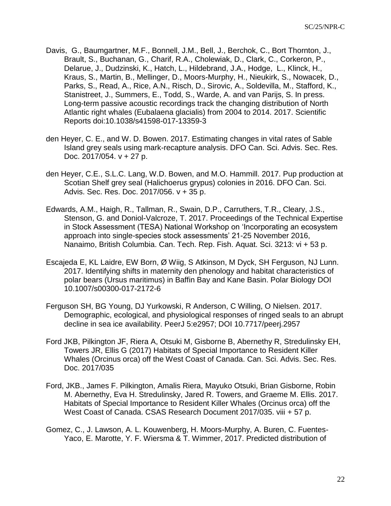- Davis, G., Baumgartner, M.F., Bonnell, J.M., Bell, J., Berchok, C., Bort Thornton, J., Brault, S., Buchanan, G., Charif, R.A., Cholewiak, D., Clark, C., Corkeron, P., Delarue, J., Dudzinski, K., Hatch, L., Hildebrand, J.A., Hodge, L., Klinck, H., Kraus, S., Martin, B., Mellinger, D., Moors-Murphy, H., Nieukirk, S., Nowacek, D., Parks, S., Read, A., Rice, A.N., Risch, D., Sirovic, A., Soldevilla, M., Stafford, K., Stanistreet, J., Summers, E., Todd, S., Warde, A. and van Parijs, S. In press. Long-term passive acoustic recordings track the changing distribution of North Atlantic right whales (Eubalaena glacialis) from 2004 to 2014. 2017. Scientific Reports doi:10.1038/s41598-017-13359-3
- den Heyer, C. E., and W. D. Bowen. 2017. Estimating changes in vital rates of Sable Island grey seals using mark-recapture analysis. DFO Can. Sci. Advis. Sec. Res. Doc. 2017/054. v + 27 p.
- den Heyer, C.E., S.L.C. Lang, W.D. Bowen, and M.O. Hammill. 2017. Pup production at Scotian Shelf grey seal (Halichoerus grypus) colonies in 2016. DFO Can. Sci. Advis. Sec. Res. Doc. 2017/056. v + 35 p.
- Edwards, A.M., Haigh, R., Tallman, R., Swain, D.P., Carruthers, T.R., Cleary, J.S., Stenson, G. and Doniol-Valcroze, T. 2017. Proceedings of the Technical Expertise in Stock Assessment (TESA) National Workshop on 'Incorporating an ecosystem approach into single-species stock assessments' 21-25 November 2016, Nanaimo, British Columbia. Can. Tech. Rep. Fish. Aquat. Sci. 3213: vi + 53 p.
- Escajeda E, KL Laidre, EW Born, Ø Wiig, S Atkinson, M Dyck, SH Ferguson, NJ Lunn. 2017. Identifying shifts in maternity den phenology and habitat characteristics of polar bears (Ursus maritimus) in Baffin Bay and Kane Basin. Polar Biology DOI 10.1007/s00300-017-2172-6
- Ferguson SH, BG Young, DJ Yurkowski, R Anderson, C Willing, O Nielsen. 2017. Demographic, ecological, and physiological responses of ringed seals to an abrupt decline in sea ice availability. PeerJ 5:e2957; DOI 10.7717/peerj.2957
- Ford JKB, Pilkington JF, Riera A, Otsuki M, Gisborne B, Abernethy R, Stredulinsky EH, Towers JR, Ellis G (2017) Habitats of Special Importance to Resident Killer Whales (Orcinus orca) off the West Coast of Canada. Can. Sci. Advis. Sec. Res. Doc. 2017/035
- Ford, JKB., James F. Pilkington, Amalis Riera, Mayuko Otsuki, Brian Gisborne, Robin M. Abernethy, Eva H. Stredulinsky, Jared R. Towers, and Graeme M. Ellis. 2017. Habitats of Special Importance to Resident Killer Whales (Orcinus orca) off the West Coast of Canada. CSAS Research Document 2017/035. viii + 57 p.
- Gomez, C., J. Lawson, A. L. Kouwenberg, H. Moors-Murphy, A. Buren, C. Fuentes-Yaco, E. Marotte, Y. F. Wiersma & T. Wimmer, 2017. Predicted distribution of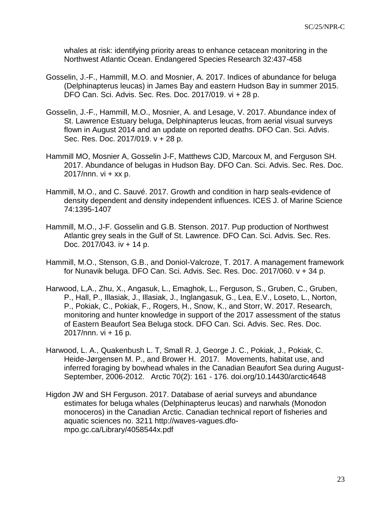whales at risk: identifying priority areas to enhance cetacean monitoring in the Northwest Atlantic Ocean. Endangered Species Research 32:437-458

- Gosselin, J.-F., Hammill, M.O. and Mosnier, A. 2017. Indices of abundance for beluga (Delphinapterus leucas) in James Bay and eastern Hudson Bay in summer 2015. DFO Can. Sci. Advis. Sec. Res. Doc. 2017/019. vi + 28 p.
- Gosselin, J.-F., Hammill, M.O., Mosnier, A. and Lesage, V. 2017. Abundance index of St. Lawrence Estuary beluga, Delphinapterus leucas, from aerial visual surveys flown in August 2014 and an update on reported deaths. DFO Can. Sci. Advis. Sec. Res. Doc. 2017/019. v + 28 p.
- Hammill MO, Mosnier A, Gosselin J-F, Matthews CJD, Marcoux M, and Ferguson SH. 2017. Abundance of belugas in Hudson Bay. DFO Can. Sci. Advis. Sec. Res. Doc. 2017/nnn.  $vi + xx$  p.
- Hammill, M.O., and C. Sauvé. 2017. Growth and condition in harp seals-evidence of density dependent and density independent influences. ICES J. of Marine Science 74:1395-1407
- Hammill, M.O., J-F. Gosselin and G.B. Stenson. 2017. Pup production of Northwest Atlantic grey seals in the Gulf of St. Lawrence. DFO Can. Sci. Advis. Sec. Res. Doc. 2017/043. iv + 14 p.
- Hammill, M.O., Stenson, G.B., and Doniol-Valcroze, T. 2017. A management framework for Nunavik beluga. DFO Can. Sci. Advis. Sec. Res. Doc. 2017/060. v + 34 p.
- Harwood, L,A., Zhu, X., Angasuk, L., Emaghok, L., Ferguson, S., Gruben, C., Gruben, P., Hall, P., Illasiak, J., Illasiak, J., Inglangasuk, G., Lea, E.V., Loseto, L., Norton, P., Pokiak, C., Pokiak, F., Rogers, H., Snow, K., and Storr, W. 2017. Research, monitoring and hunter knowledge in support of the 2017 assessment of the status of Eastern Beaufort Sea Beluga stock. DFO Can. Sci. Advis. Sec. Res. Doc. 2017/nnn. vi + 16 p.
- Harwood, L. A., Quakenbush L. T, Small R. J, George J. C., Pokiak, J., Pokiak, C. Heide-Jørgensen M. P., and Brower H. 2017. Movements, habitat use, and inferred foraging by bowhead whales in the Canadian Beaufort Sea during August-September, 2006-2012. Arctic 70(2): 161 - 176. doi.org/10.14430/arctic4648
- Higdon JW and SH Ferguson. 2017. Database of aerial surveys and abundance estimates for beluga whales (Delphinapterus leucas) and narwhals (Monodon monoceros) in the Canadian Arctic. Canadian technical report of fisheries and aquatic sciences no. 3211 http://waves-vagues.dfompo.gc.ca/Library/4058544x.pdf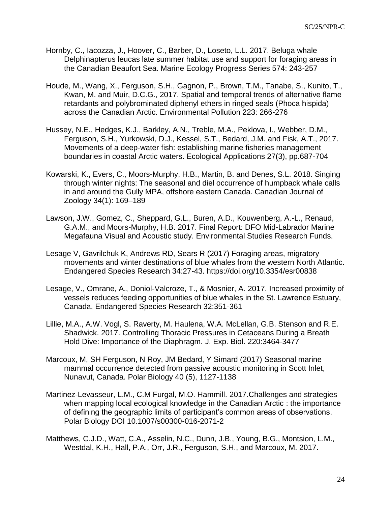- Hornby, C., Iacozza, J., Hoover, C., Barber, D., Loseto, L.L. 2017. Beluga whale Delphinapterus leucas late summer habitat use and support for foraging areas in the Canadian Beaufort Sea. Marine Ecology Progress Series 574: 243-257
- Houde, M., Wang, X., Ferguson, S.H., Gagnon, P., Brown, T.M., Tanabe, S., Kunito, T., Kwan, M. and Muir, D.C.G., 2017. Spatial and temporal trends of alternative flame retardants and polybrominated diphenyl ethers in ringed seals (Phoca hispida) across the Canadian Arctic. Environmental Pollution 223: 266-276
- Hussey, N.E., Hedges, K.J., Barkley, A.N., Treble, M.A., Peklova, I., Webber, D.M., Ferguson, S.H., Yurkowski, D.J., Kessel, S.T., Bedard, J.M. and Fisk, A.T., 2017. Movements of a deep‐water fish: establishing marine fisheries management boundaries in coastal Arctic waters. Ecological Applications 27(3), pp.687-704
- Kowarski, K., Evers, C., Moors-Murphy, H.B., Martin, B. and Denes, S.L. 2018. Singing through winter nights: The seasonal and diel occurrence of humpback whale calls in and around the Gully MPA, offshore eastern Canada. Canadian Journal of Zoology 34(1): 169–189
- Lawson, J.W., Gomez, C., Sheppard, G.L., Buren, A.D., Kouwenberg, A.-L., Renaud, G.A.M., and Moors-Murphy, H.B. 2017. Final Report: DFO Mid-Labrador Marine Megafauna Visual and Acoustic study. Environmental Studies Research Funds.
- Lesage V, Gavrilchuk K, Andrews RD, Sears R (2017) Foraging areas, migratory movements and winter destinations of blue whales from the western North Atlantic. Endangered Species Research 34:27-43. https://doi.org/10.3354/esr00838
- Lesage, V., Omrane, A., Doniol-Valcroze, T., & Mosnier, A. 2017. Increased proximity of vessels reduces feeding opportunities of blue whales in the St. Lawrence Estuary, Canada. Endangered Species Research 32:351-361
- Lillie, M.A., A.W. Vogl, S. Raverty, M. Haulena, W.A. McLellan, G.B. Stenson and R.E. Shadwick. 2017. Controlling Thoracic Pressures in Cetaceans During a Breath Hold Dive: Importance of the Diaphragm. J. Exp. Biol. 220:3464-3477
- Marcoux, M, SH Ferguson, N Roy, JM Bedard, Y Simard (2017) Seasonal marine mammal occurrence detected from passive acoustic monitoring in Scott Inlet, Nunavut, Canada. Polar Biology 40 (5), 1127-1138
- Martinez-Levasseur, L.M., C.M Furgal, M.O. Hammill. 2017.Challenges and strategies when mapping local ecological knowledge in the Canadian Arctic : the importance of defining the geographic limits of participant's common areas of observations. Polar Biology DOI 10.1007/s00300-016-2071-2
- Matthews, C.J.D., Watt, C.A., Asselin, N.C., Dunn, J.B., Young, B.G., Montsion, L.M., Westdal, K.H., Hall, P.A., Orr, J.R., Ferguson, S.H., and Marcoux, M. 2017.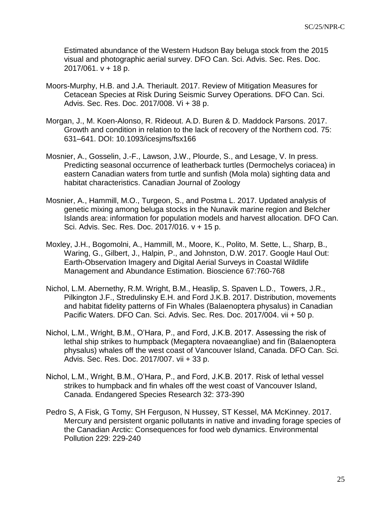Estimated abundance of the Western Hudson Bay beluga stock from the 2015 visual and photographic aerial survey. DFO Can. Sci. Advis. Sec. Res. Doc. 2017/061. v + 18 p.

- Moors-Murphy, H.B. and J.A. Theriault. 2017. Review of Mitigation Measures for Cetacean Species at Risk During Seismic Survey Operations. DFO Can. Sci. Advis. Sec. Res. Doc. 2017/008. Vi + 38 p.
- Morgan, J., M. Koen-Alonso, R. Rideout. A.D. Buren & D. Maddock Parsons. 2017. Growth and condition in relation to the lack of recovery of the Northern cod. 75: 631–641. DOI: 10.1093/icesjms/fsx166
- Mosnier, A., Gosselin, J.-F., Lawson, J.W., Plourde, S., and Lesage, V. In press. Predicting seasonal occurrence of leatherback turtles (Dermochelys coriacea) in eastern Canadian waters from turtle and sunfish (Mola mola) sighting data and habitat characteristics. Canadian Journal of Zoology
- Mosnier, A., Hammill, M.O., Turgeon, S., and Postma L. 2017. Updated analysis of genetic mixing among beluga stocks in the Nunavik marine region and Belcher Islands area: information for population models and harvest allocation. DFO Can. Sci. Advis. Sec. Res. Doc. 2017/016. v + 15 p.
- Moxley, J.H., Bogomolni, A., Hammill, M., Moore, K., Polito, M. Sette, L., Sharp, B., Waring, G., Gilbert, J., Halpin, P., and Johnston, D.W. 2017. Google Haul Out: Earth-Observation Imagery and Digital Aerial Surveys in Coastal Wildlife Management and Abundance Estimation. Bioscience 67:760-768
- Nichol, L.M. Abernethy, R.M. Wright, B.M., Heaslip, S. Spaven L.D., Towers, J.R., Pilkington J.F., Stredulinsky E.H. and Ford J.K.B. 2017. Distribution, movements and habitat fidelity patterns of Fin Whales (Balaenoptera physalus) in Canadian Pacific Waters. DFO Can. Sci. Advis. Sec. Res. Doc. 2017/004. vii + 50 p.
- Nichol, L.M., Wright, B.M., O'Hara, P., and Ford, J.K.B. 2017. Assessing the risk of lethal ship strikes to humpback (Megaptera novaeangliae) and fin (Balaenoptera physalus) whales off the west coast of Vancouver Island, Canada. DFO Can. Sci. Advis. Sec. Res. Doc. 2017/007. vii + 33 p.
- Nichol, L.M., Wright, B.M., O'Hara, P., and Ford, J.K.B. 2017. Risk of lethal vessel strikes to humpback and fin whales off the west coast of Vancouver Island, Canada. Endangered Species Research 32: 373-390
- Pedro S, A Fisk, G Tomy, SH Ferguson, N Hussey, ST Kessel, MA McKinney. 2017. Mercury and persistent organic pollutants in native and invading forage species of the Canadian Arctic: Consequences for food web dynamics. Environmental Pollution 229: 229-240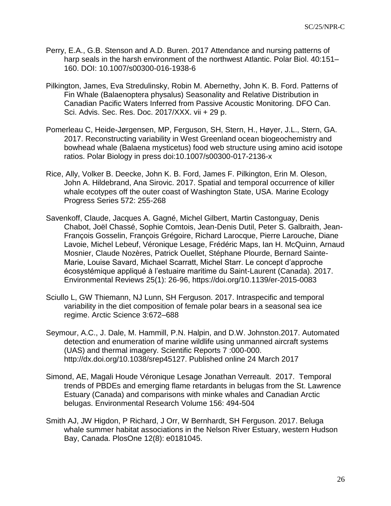- Perry, E.A., G.B. Stenson and A.D. Buren. 2017 Attendance and nursing patterns of harp seals in the harsh environment of the northwest Atlantic. Polar Biol. 40:151– 160. DOI: 10.1007/s00300-016-1938-6
- Pilkington, James, Eva Stredulinsky, Robin M. Abernethy, John K. B. Ford. Patterns of Fin Whale (Balaenoptera physalus) Seasonality and Relative Distribution in Canadian Pacific Waters Inferred from Passive Acoustic Monitoring. DFO Can. Sci. Advis. Sec. Res. Doc. 2017/XXX. vii + 29 p.
- Pomerleau C, Heide-Jørgensen, MP, Ferguson, SH, Stern, H., Høyer, J.L., Stern, GA. 2017. Reconstructing variability in West Greenland ocean biogeochemistry and bowhead whale (Balaena mysticetus) food web structure using amino acid isotope ratios. Polar Biology in press doi:10.1007/s00300-017-2136-x
- Rice, Ally, Volker B. Deecke, John K. B. Ford, James F. Pilkington, Erin M. Oleson, John A. Hildebrand, Ana Sirovic. 2017. Spatial and temporal occurrence of killer whale ecotypes off the outer coast of Washington State, USA. Marine Ecology Progress Series 572: 255-268
- Savenkoff, Claude, Jacques A. Gagné, Michel Gilbert, Martin Castonguay, Denis Chabot, Joël Chassé, Sophie Comtois, Jean-Denis Dutil, Peter S. Galbraith, Jean-François Gosselin, François Grégoire, Richard Larocque, Pierre Larouche, Diane Lavoie, Michel Lebeuf, Véronique Lesage, Frédéric Maps, Ian H. McQuinn, Arnaud Mosnier, Claude Nozères, Patrick Ouellet, Stéphane Plourde, Bernard Sainte-Marie, Louise Savard, Michael Scarratt, Michel Starr. Le concept d'approche écosystémique appliqué à l'estuaire maritime du Saint-Laurent (Canada). 2017. Environmental Reviews 25(1): 26-96, https://doi.org/10.1139/er-2015-0083
- Sciullo L, GW Thiemann, NJ Lunn, SH Ferguson. 2017. Intraspecific and temporal variability in the diet composition of female polar bears in a seasonal sea ice regime. Arctic Science 3:672–688
- Seymour, A.C., J. Dale, M. Hammill, P.N. Halpin, and D.W. Johnston.2017. Automated detection and enumeration of marine wildlife using unmanned aircraft systems (UAS) and thermal imagery. Scientific Reports 7 :000-000. http://dx.doi.org/10.1038/srep45127. Published online 24 March 2017
- Simond, AE, Magali Houde Véronique Lesage Jonathan Verreault. 2017. Temporal trends of PBDEs and emerging flame retardants in belugas from the St. Lawrence Estuary (Canada) and comparisons with minke whales and Canadian Arctic belugas. Environmental Research Volume 156: 494-504
- Smith AJ, JW Higdon, P Richard, J Orr, W Bernhardt, SH Ferguson. 2017. Beluga whale summer habitat associations in the Nelson River Estuary, western Hudson Bay, Canada. PlosOne 12(8): e0181045.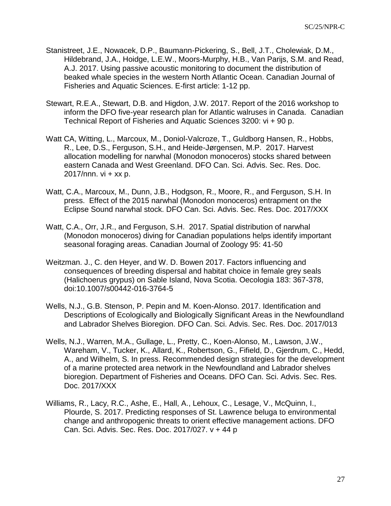- Stanistreet, J.E., Nowacek, D.P., Baumann-Pickering, S., Bell, J.T., Cholewiak, D.M., Hildebrand, J.A., Hoidge, L.E.W., Moors-Murphy, H.B., Van Parijs, S.M. and Read, A.J. 2017. Using passive acoustic monitoring to document the distribution of beaked whale species in the western North Atlantic Ocean. Canadian Journal of Fisheries and Aquatic Sciences. E-first article: 1-12 pp.
- Stewart, R.E.A., Stewart, D.B. and Higdon, J.W. 2017. Report of the 2016 workshop to inform the DFO five-year research plan for Atlantic walruses in Canada. Canadian Technical Report of Fisheries and Aquatic Sciences 3200: vi + 90 p.
- Watt CA, Witting, L., Marcoux, M., Doniol-Valcroze, T., Guldborg Hansen, R., Hobbs, R., Lee, D.S., Ferguson, S.H., and Heide-Jørgensen, M.P. 2017. Harvest allocation modelling for narwhal (Monodon monoceros) stocks shared between eastern Canada and West Greenland. DFO Can. Sci. Advis. Sec. Res. Doc. 2017/nnn.  $vi + xx$  p.
- Watt, C.A., Marcoux, M., Dunn, J.B., Hodgson, R., Moore, R., and Ferguson, S.H. In press. Effect of the 2015 narwhal (Monodon monoceros) entrapment on the Eclipse Sound narwhal stock. DFO Can. Sci. Advis. Sec. Res. Doc. 2017/XXX
- Watt, C.A., Orr, J.R., and Ferguson, S.H. 2017. Spatial distribution of narwhal (Monodon monoceros) diving for Canadian populations helps identify important seasonal foraging areas. Canadian Journal of Zoology 95: 41-50
- Weitzman. J., C. den Heyer, and W. D. Bowen 2017. Factors influencing and consequences of breeding dispersal and habitat choice in female grey seals (Halichoerus grypus) on Sable Island, Nova Scotia. Oecologia 183: 367-378, doi:10.1007/s00442-016-3764-5
- Wells, N.J., G.B. Stenson, P. Pepin and M. Koen-Alonso. 2017. Identification and Descriptions of Ecologically and Biologically Significant Areas in the Newfoundland and Labrador Shelves Bioregion. DFO Can. Sci. Advis. Sec. Res. Doc. 2017/013
- Wells, N.J., Warren, M.A., Gullage, L., Pretty, C., Koen-Alonso, M., Lawson, J.W., Wareham, V., Tucker, K., Allard, K., Robertson, G., Fifield, D., Gjerdrum, C., Hedd, A., and Wilhelm, S. In press. Recommended design strategies for the development of a marine protected area network in the Newfoundland and Labrador shelves bioregion. Department of Fisheries and Oceans. DFO Can. Sci. Advis. Sec. Res. Doc. 2017/XXX
- Williams, R., Lacy, R.C., Ashe, E., Hall, A., Lehoux, C., Lesage, V., McQuinn, I., Plourde, S. 2017. Predicting responses of St. Lawrence beluga to environmental change and anthropogenic threats to orient effective management actions. DFO Can. Sci. Advis. Sec. Res. Doc. 2017/027. v + 44 p